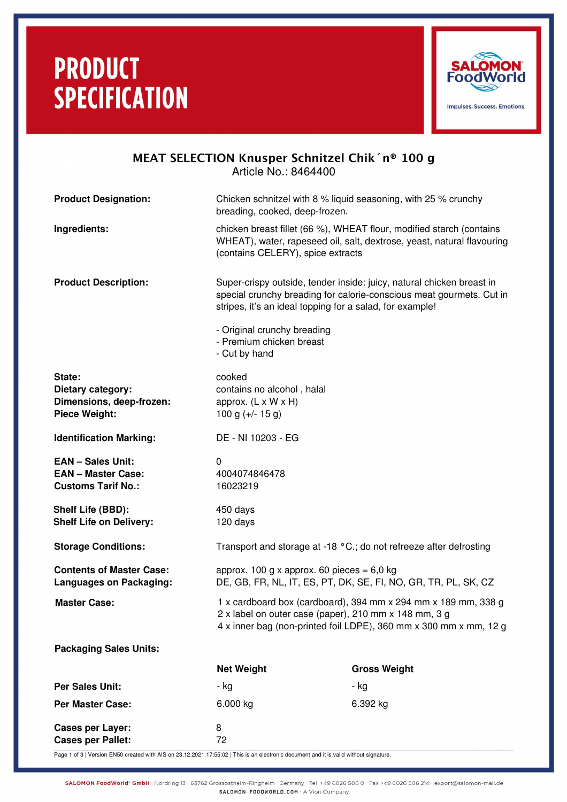# **PRODUCT SPECIFICATION**



## MEAT SELECTION Knusper Schnitzel Chik´n® 100 g Article No.: 8464400

| <b>Product Designation:</b>                                                        | Chicken schnitzel with 8 % liquid seasoning, with 25 % crunchy<br>breading, cooked, deep-frozen.                                                                                                          |                     |
|------------------------------------------------------------------------------------|-----------------------------------------------------------------------------------------------------------------------------------------------------------------------------------------------------------|---------------------|
| Ingredients:                                                                       | chicken breast fillet (66 %), WHEAT flour, modified starch (contains<br>WHEAT), water, rapeseed oil, salt, dextrose, yeast, natural flavouring<br>(contains CELERY), spice extracts                       |                     |
| <b>Product Description:</b>                                                        | Super-crispy outside, tender inside: juicy, natural chicken breast in<br>special crunchy breading for calorie-conscious meat gourmets. Cut in<br>stripes, it's an ideal topping for a salad, for example! |                     |
|                                                                                    | - Original crunchy breading<br>- Premium chicken breast<br>- Cut by hand                                                                                                                                  |                     |
| State:<br>Dietary category:<br>Dimensions, deep-frozen:<br><b>Piece Weight:</b>    | cooked<br>contains no alcohol, halal<br>approx. $(L \times W \times H)$<br>100 g $(+/- 15$ g)                                                                                                             |                     |
| <b>Identification Marking:</b>                                                     | DE - NI 10203 - EG                                                                                                                                                                                        |                     |
| <b>EAN - Sales Unit:</b><br><b>EAN - Master Case:</b><br><b>Customs Tarif No.:</b> | 0<br>4004074846478<br>16023219                                                                                                                                                                            |                     |
| Shelf Life (BBD):<br><b>Shelf Life on Delivery:</b>                                | 450 days<br>120 days                                                                                                                                                                                      |                     |
| <b>Storage Conditions:</b>                                                         | Transport and storage at -18 °C.; do not refreeze after defrosting                                                                                                                                        |                     |
| <b>Contents of Master Case:</b><br>Languages on Packaging:                         | approx. 100 g x approx. 60 pieces = $6,0$ kg<br>DE, GB, FR, NL, IT, ES, PT, DK, SE, FI, NO, GR, TR, PL, SK, CZ                                                                                            |                     |
| <b>Master Case:</b>                                                                | 1 x cardboard box (cardboard), 394 mm x 294 mm x 189 mm, 338 g<br>2 x label on outer case (paper), 210 mm x 148 mm, 3 g<br>4 x inner bag (non-printed foil LDPE), 360 mm x 300 mm x mm, 12 g              |                     |
| <b>Packaging Sales Units:</b>                                                      |                                                                                                                                                                                                           |                     |
|                                                                                    | <b>Net Weight</b>                                                                                                                                                                                         | <b>Gross Weight</b> |
| <b>Per Sales Unit:</b>                                                             | - kg                                                                                                                                                                                                      | - kg                |
| <b>Per Master Case:</b>                                                            | 6.000 kg                                                                                                                                                                                                  | 6.392 kg            |
| <b>Cases per Layer:</b><br><b>Cases per Pallet:</b>                                | 8<br>72                                                                                                                                                                                                   |                     |

Page 1 of 3 | Version EN50 created with AIS on 23.12.2021 17:55:02 | This is an electronic document and it is valid without signature.

SALOMON FoodWorld\* GmbH · Nordring 13 · 63762 Grossostheim-Ringheim · Germany · Tel +49 6026 506 0 · Fax +49 6026 506 214 · export@salomon-mail.de SALOMON-FOODWORLD.COM · A Vion Company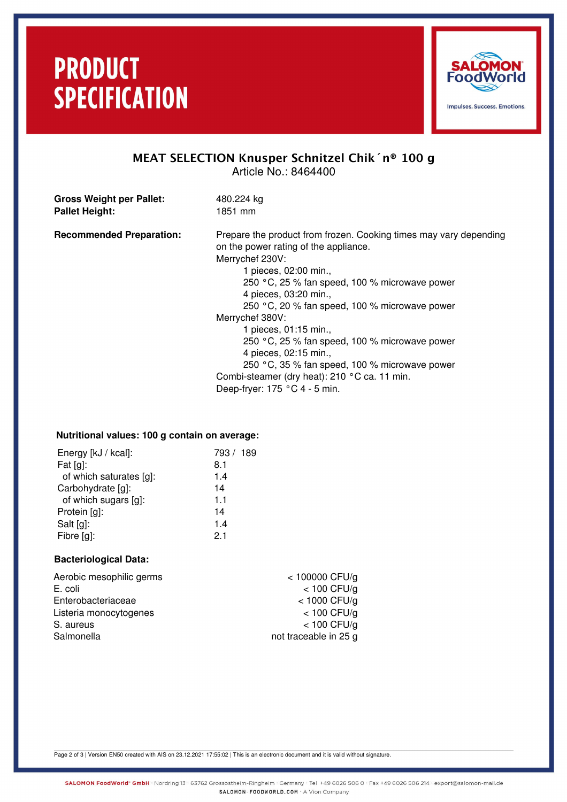# **PRODUCT SPECIFICATION**



## MEAT SELECTION Knusper Schnitzel Chik´n® 100 g Article No.: 8464400

| <b>Gross Weight per Pallet:</b><br><b>Pallet Height:</b> | 480.224 kg<br>1851 mm                                                                                                                                                                                                                                                                                                                                                                                                                                                                                                                     |
|----------------------------------------------------------|-------------------------------------------------------------------------------------------------------------------------------------------------------------------------------------------------------------------------------------------------------------------------------------------------------------------------------------------------------------------------------------------------------------------------------------------------------------------------------------------------------------------------------------------|
| <b>Recommended Preparation:</b>                          | Prepare the product from frozen. Cooking times may vary depending<br>on the power rating of the appliance.<br>Merrychef 230V:<br>1 pieces, 02:00 min.,<br>250 °C, 25 % fan speed, 100 % microwave power<br>4 pieces, 03:20 min.,<br>250 °C, 20 % fan speed, 100 % microwave power<br>Merrychef 380V:<br>1 pieces, 01:15 min.,<br>250 °C, 25 % fan speed, 100 % microwave power<br>4 pieces, 02:15 min.,<br>250 °C, 35 % fan speed, 100 % microwave power<br>Combi-steamer (dry heat): 210 °C ca. 11 min.<br>Deep-fryer: 175 °C 4 - 5 min. |

### **Nutritional values: 100 g contain on average:**

| Energy [kJ / kcal]:     | 793 / 189 |
|-------------------------|-----------|
| Fat $[g]$ :             | 8.1       |
| of which saturates [g]: | 1.4       |
| Carbohydrate [g]:       | 14        |
| of which sugars [g]:    | 1.1       |
| Protein [g]:            | 14        |
| Salt [g]:               | 1.4       |
| Fibre [g]:              | 21        |
|                         |           |

### **Bacteriological Data:**

| $<$ 100000 CFU/g      |
|-----------------------|
| $<$ 100 CFU/g         |
| $<$ 1000 CFU/g        |
| $<$ 100 CFU/g         |
| $<$ 100 CFU/g         |
| not traceable in 25 g |
|                       |

Page 2 of 3 | Version EN50 created with AIS on 23.12.2021 17:55:02 | This is an electronic document and it is valid without signature.